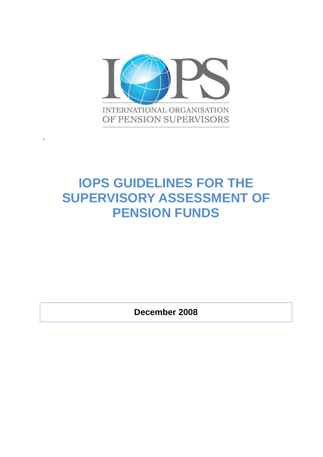

**.**

# **IOPS GUIDELINES FOR THE SUPERVISORY ASSESSMENT OF PENSION FUNDS**

**December 2008**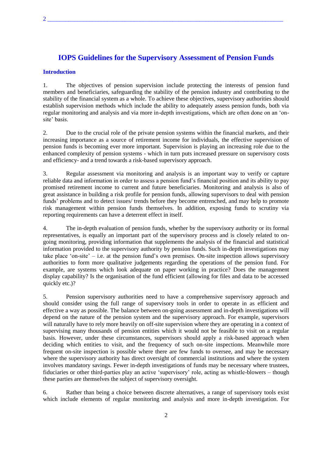# **IOPS Guidelines for the Supervisory Assessment of Pension Funds**

#### **Introduction**

1. The objectives of pension supervision include protecting the interests of pension fund members and beneficiaries, safeguarding the stability of the pension industry and contributing to the stability of the financial system as a whole. To achieve these objectives, supervisory authorities should establish supervision methods which include the ability to adequately assess pension funds, both via regular monitoring and analysis and via more in-depth investigations, which are often done on an 'onsite' basis.

2. Due to the crucial role of the private pension systems within the financial markets, and their increasing importance as a source of retirement income for individuals, the effective supervision of pension funds is becoming ever more important. Supervision is playing an increasing role due to the enhanced complexity of pension systems - which in turn puts increased pressure on supervisory costs and efficiency- and a trend towards a risk-based supervisory approach.

3. Regular assessment via monitoring and analysis is an important way to verify or capture reliable data and information in order to assess a pension fund's financial position and its ability to pay promised retirement income to current and future beneficiaries. Monitoring and analysis is also of great assistance in building a risk profile for pension funds, allowing supervisors to deal with pension funds' problems and to detect issues/ trends before they become entrenched, and may help to promote risk management within pension funds themselves. In addition, exposing funds to scrutiny via reporting requirements can have a deterrent effect in itself.

4. The in-depth evaluation of pension funds, whether by the supervisory authority or its formal representatives, is equally an important part of the supervisory process and is closely related to ongoing monitoring, providing information that supplements the analysis of the financial and statistical information provided to the supervisory authority by pension funds. Such in-depth investigations may take place 'on-site' – i.e. at the pension fund's own premises. On-site inspection allows supervisory authorities to form more qualitative judgements regarding the operations of the pension fund. For example, are systems which look adequate on paper working in practice? Does the management display capability? Is the organisation of the fund efficient (allowing for files and data to be accessed quickly etc.)?

5. Pension supervisory authorities need to have a comprehensive supervisory approach and should consider using the full range of supervisory tools in order to operate in as efficient and effective a way as possible. The balance between on-going assessment and in-depth investigations will depend on the nature of the pension system and the supervisory approach. For example, supervisors will naturally have to rely more heavily on off-site supervision where they are operating in a context of supervising many thousands of pension entities which it would not be feasible to visit on a regular basis. However, under these circumstances, supervisors should apply a risk-based approach when deciding which entities to visit, and the frequency of such on-site inspections. Meanwhile more frequent on-site inspection is possible where there are few funds to oversee, and may be necessary where the supervisory authority has direct oversight of commercial institutions and where the system involves mandatory savings. Fewer in-depth investigations of funds may be necessary where trustees, fiduciaries or other third-parties play an active 'supervisory' role, acting as whistle-blowers – though these parties are themselves the subject of supervisory oversight.

6. Rather than being a choice between discrete alternatives, a range of supervisory tools exist which include elements of regular monitoring and analysis and more in-depth investigation. For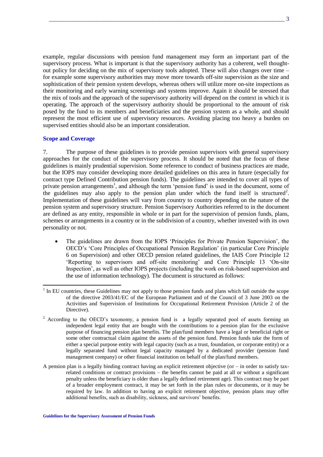example, regular discussions with pension fund management may form an important part of the supervisory process. What is important is that the supervisory authority has a coherent, well thoughtout policy for deciding on the mix of supervisory tools adopted. These will also changes over time – for example some supervisory authorities may move more towards off-site supervision as the size and sophistication of their pension system develops, whereas others will utilize more on-site inspections as their monitoring and early warning screenings and systems improve. Again it should be stressed that the mix of tools and the approach of the supervisory authority will depend on the context in which it is operating. The approach of the supervisory authority should be proportional to the amount of risk posed by the fund to its members and beneficiaries and the pension system as a whole, and should represent the most efficient use of supervisory resources. Avoiding placing too heavy a burden on supervised entities should also be an important consideration.

#### **Scope and Coverage**

 $\overline{a}$ 

7. The purpose of these guidelines is to provide pension supervisors with general supervisory approaches for the conduct of the supervisory process. It should be noted that the focus of these guidelines is mainly prudential supervision. Some reference to conduct of business practices are made, but the IOPS may consider developing more detailed guidelines on this area in future (especially for contract type Defined Contribution pension funds). The guidelines are intended to cover all types of private pension arrangements<sup>1</sup>, and although the term 'pension fund' is used in the document, some of the guidelines may also apply to the pension plan under which the fund itself is structured<sup>2</sup>. Implementation of these guidelines will vary from country to country depending on the nature of the pension system and supervisory structure. Pension Supervisory Authorities referred to in the document are defined as any entity, responsible in whole or in part for the supervision of pension funds, plans, schemes or arrangements in a country or in the subdivision of a country, whether invested with its own personality or not.

- The guidelines are drawn from the IOPS 'Principles for Private Pension Supervision', the OECD's 'Core Principles of Occupational Pension Regulation' (in particular Core Principle 6 on Supervision) and other OECD pension related guidelines, the IAIS Core Principle 12 'Reporting to supervisors and off-site monitoring' and Core Principle 13 'On-site Inspection', as well as other IOPS projects (including the work on risk-based supervision and the use of information technology). The document is structured as follows:
- <sup>1</sup> In EU countries, these Guidelines may not apply to those pension funds and plans which fall outside the scope of the directive 2003/41/EC of the European Parliament and of the Council of 3 June 2003 on the Activities and Supervision of Institutions for Occupational Retirement Provision (Article 2 of the Directive).
- <sup>2</sup> According to the OECD's taxonomy, a pension fund is a legally separated pool of assets forming an independent legal entity that are bought with the contributions to a pension plan for the exclusive purpose of financing pension plan benefits. The plan/fund members have a legal or beneficial right or some other contractual claim against the assets of the pension fund. Pension funds take the form of either a special purpose entity with legal capacity (such as a trust, foundation, or corporate entity) or a legally separated fund without legal capacity managed by a dedicated provider (pension fund management company) or other financial institution on behalf of the plan/fund members.
- A pension plan is a legally binding contract having an explicit retirement objective (or  $-$  in order to satisfy taxrelated conditions or contract provisions – the benefits cannot be paid at all or without a significant penalty unless the beneficiary is older than a legally defined retirement age). This contract may be part of a broader employment contract, it may be set forth in the plan rules or documents, or it may be required by law. In addition to having an explicit retirement objective, pension plans may offer additional benefits, such as disability, sickness, and survivors' benefits.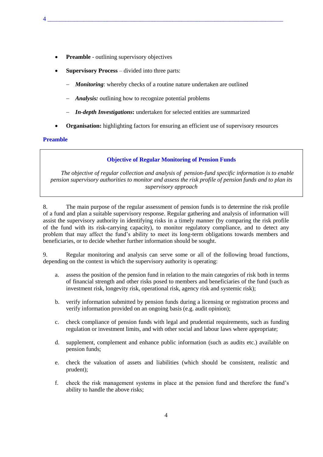- **Preamble** outlining supervisory objectives
- **Supervisory Process** divided into three parts:
	- *Monitoring*: whereby checks of a routine nature undertaken are outlined

4 \_\_\_\_\_\_\_\_\_\_\_\_\_\_\_\_\_\_\_\_\_\_\_\_\_\_\_\_\_\_\_\_\_\_\_\_\_\_\_\_\_\_\_\_\_\_\_\_\_\_\_\_\_\_\_\_\_\_\_\_\_\_\_\_\_\_\_\_\_\_\_\_\_\_\_\_\_\_\_

- *Analysis:* outlining how to recognize potential problems
- *In-depth Investigations***:** undertaken for selected entities are summarized
- **Organisation:** highlighting factors for ensuring an efficient use of supervisory resources

## **Preamble**

## **Objective of Regular Monitoring of Pension Funds**

*The objective of regular collection and analysis of pension-fund specific information is to enable pension supervisory authorities to monitor and assess the risk profile of pension funds and to plan its supervisory approach*

8. The main purpose of the regular assessment of pension funds is to determine the risk profile of a fund and plan a suitable supervisory response. Regular gathering and analysis of information will assist the supervisory authority in identifying risks in a timely manner (by comparing the risk profile of the fund with its risk-carrying capacity), to monitor regulatory compliance, and to detect any problem that may affect the fund's ability to meet its long-term obligations towards members and beneficiaries, or to decide whether further information should be sought.

9. Regular monitoring and analysis can serve some or all of the following broad functions, depending on the context in which the supervisory authority is operating:

- a. assess the position of the pension fund in relation to the main categories of risk both in terms of financial strength and other risks posed to members and beneficiaries of the fund (such as investment risk, longevity risk, operational risk, agency risk and systemic risk);
- b. verify information submitted by pension funds during a licensing or registration process and verify information provided on an ongoing basis (e.g. audit opinion);
- c. check compliance of pension funds with legal and prudential requirements, such as funding regulation or investment limits, and with other social and labour laws where appropriate;
- d. supplement, complement and enhance public information (such as audits etc.) available on pension funds;
- e. check the valuation of assets and liabilities (which should be consistent, realistic and prudent);
- f. check the risk management systems in place at the pension fund and therefore the fund's ability to handle the above risks;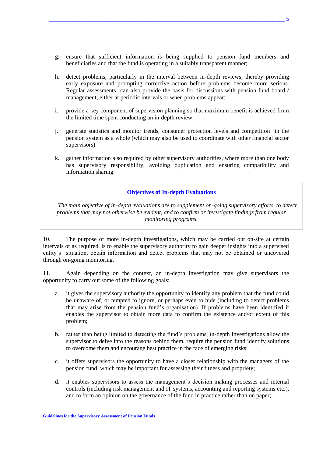- g. ensure that sufficient information is being supplied to pension fund members and beneficiaries and that the fund is operating in a suitably transparent manner;
- h. detect problems, particularly in the interval between in-depth reviews, thereby providing early exposure and prompting corrective action before problems become more serious. Regular assessments can also provide the basis for discussions with pension fund board / management, either at periodic intervals or when problems appear;
- i. provide a key component of supervision planning so that maximum benefit is achieved from the limited time spent conducting an in-depth review;
- j. generate statistics and monitor trends, consumer protection levels and competition in the pension system as a whole (which may also be used to coordinate with other financial sector supervisors).
- k. gather information also required by other supervisory authorities, where more than one body has supervisory responsibility, avoiding duplication and ensuring compatibility and information sharing.

## **Objectives of In-depth Evaluations**

*The main objective of in-depth evaluations are to supplement on-going supervisory efforts, to detect problems that may not otherwise be evident, and to confirm or investigate findings from regular monitoring programs.* 

10. The purpose of more in-depth investigations, which may be carried out on-site at certain intervals or as required, is to enable the supervisory authority to gain deeper insights into a supervised entity's situation, obtain information and detect problems that may not be obtained or uncovered through on-going monitoring.

11. Again depending on the context, an in-depth investigation may give supervisors the opportunity to carry out some of the following goals:

- a. it gives the supervisory authority the opportunity to identify any problem that the fund could be unaware of, or tempted to ignore, or perhaps even to hide (including to detect problems that may arise from the pension fund's organisation). If problems have been identified it enables the supervisor to obtain more data to confirm the existence and/or extent of this problem;
- b. rather than being limited to detecting the fund's problems, in-depth investigations allow the supervisor to delve into the reasons behind them, require the pension fund identify solutions to overcome them and encourage best practice in the face of emerging risks;
- c. it offers supervisors the opportunity to have a closer relationship with the managers of the pension fund, which may be important for assessing their fitness and propriety;
- d. it enables supervisors to assess the management's decision-making processes and internal controls (including risk management and IT systems, accounting and reporting systems etc.), and to form an opinion on the governance of the fund in practice rather than on paper;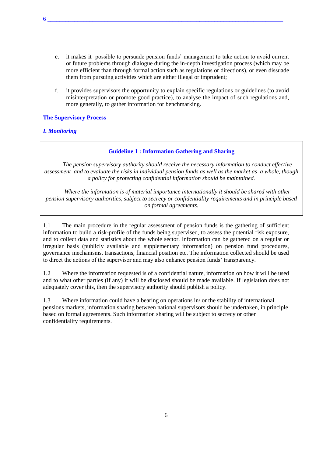- e. it makes it possible to persuade pension funds' management to take action to avoid current or future problems through dialogue during the in-depth investigation process (which may be more efficient than through formal action such as regulations or directions), or even dissuade them from pursuing activities which are either illegal or imprudent;
- f. it provides supervisors the opportunity to explain specific regulations or guidelines (to avoid misinterpretation or promote good practice), to analyse the impact of such regulations and, more generally, to gather information for benchmarking.

## **The Supervisory Process**

# *I. Monitoring*

## **Guideline 1 : Information Gathering and Sharing**

*The pension supervisory authority should receive the necessary information to conduct effective assessment and to evaluate the risks in individual pension funds as well as the market as a whole, though a policy for protecting confidential information should be maintained.*

*Where the information is of material importance internationally it should be shared with other pension supervisory authorities, subject to secrecy or confidentiality requirements and in principle based on formal agreements.* 

1.1 The main procedure in the regular assessment of pension funds is the gathering of sufficient information to build a risk-profile of the funds being supervised, to assess the potential risk exposure, and to collect data and statistics about the whole sector. Information can be gathered on a regular or irregular basis (publicly available and supplementary information) on pension fund procedures, governance mechanisms, transactions, financial position etc. The information collected should be used to direct the actions of the supervisor and may also enhance pension funds' transparency.

1.2 Where the information requested is of a confidential nature, information on how it will be used and to what other parties (if any) it will be disclosed should be made available. If legislation does not adequately cover this, then the supervisory authority should publish a policy.

1.3 Where information could have a bearing on operations in/ or the stability of international pensions markets, information sharing between national supervisors should be undertaken, in principle based on formal agreements. Such information sharing will be subject to secrecy or other confidentiality requirements.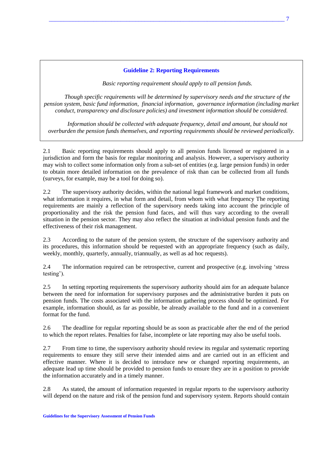## **Guideline 2: Reporting Requirements**

*Basic reporting requirement should apply to all pension funds.*

*Though specific requirements will be determined by supervisory needs and the structure of the pension system, basic fund information, financial information, governance information (including market conduct, transparency and disclosure policies) and investment information should be considered.*

*Information should be collected with adequate frequency, detail and amount, but should not overburden the pension funds themselves, and reporting requirements should be reviewed periodically.* 

2.1 Basic reporting requirements should apply to all pension funds licensed or registered in a jurisdiction and form the basis for regular monitoring and analysis. However, a supervisory authority may wish to collect some information only from a sub-set of entities (e.g. large pension funds) in order to obtain more detailed information on the prevalence of risk than can be collected from all funds (surveys, for example, may be a tool for doing so).

2.2 The supervisory authority decides, within the national legal framework and market conditions, what information it requires, in what form and detail, from whom with what frequency The reporting requirements are mainly a reflection of the supervisory needs taking into account the principle of proportionality and the risk the pension fund faces, and will thus vary according to the overall situation in the pension sector. They may also reflect the situation at individual pension funds and the effectiveness of their risk management.

2.3 According to the nature of the pension system, the structure of the supervisory authority and its procedures, this information should be requested with an appropriate frequency (such as daily, weekly, monthly, quarterly, annually, triannually, as well as ad hoc requests).

2.4 The information required can be retrospective, current and prospective (e.g. involving 'stress testing').

2.5 In setting reporting requirements the supervisory authority should aim for an adequate balance between the need for information for supervisory purposes and the administrative burden it puts on pension funds. The costs associated with the information gathering process should be optimized. For example, information should, as far as possible, be already available to the fund and in a convenient format for the fund.

2.6 The deadline for regular reporting should be as soon as practicable after the end of the period to which the report relates. Penalties for false, incomplete or late reporting may also be useful tools.

2.7 From time to time, the supervisory authority should review its regular and systematic reporting requirements to ensure they still serve their intended aims and are carried out in an efficient and effective manner. Where it is decided to introduce new or changed reporting requirements, an adequate lead up time should be provided to pension funds to ensure they are in a position to provide the information accurately and in a timely manner.

2.8 As stated, the amount of information requested in regular reports to the supervisory authority will depend on the nature and risk of the pension fund and supervisory system. Reports should contain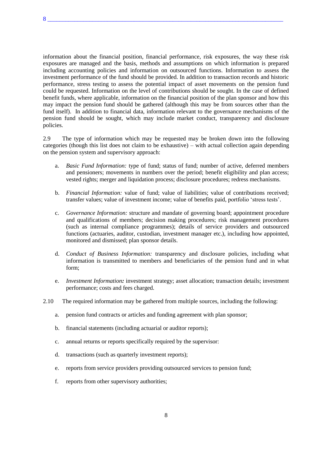information about the financial position, financial performance, risk exposures, the way these risk exposures are managed and the basis, methods and assumptions on which information is prepared including accounting policies and information on outsourced functions. Information to assess the investment performance of the fund should be provided. In addition to transaction records and historic performance, stress testing to assess the potential impact of asset movements on the pension fund could be requested. Information on the level of contributions should be sought. In the case of defined benefit funds, where applicable, information on the financial position of the plan sponsor and how this may impact the pension fund should be gathered (although this may be from sources other than the fund itself). In addition to financial data, information relevant to the governance mechanisms of the pension fund should be sought, which may include market conduct, transparency and disclosure policies.

2.9 The type of information which may be requested may be broken down into the following categories (though this list does not claim to be exhaustive) – with actual collection again depending on the pension system and supervisory approach:

- a. *Basic Fund Information:* type of fund; status of fund; number of active, deferred members and pensioners; movements in numbers over the period; benefit eligibility and plan access; vested rights; merger and liquidation process; disclosure procedures; redress mechanisms.
- b. *Financial Information:* value of fund; value of liabilities; value of contributions received; transfer values; value of investment income; value of benefits paid, portfolio 'stress tests'.
- c. *Governance Information:* structure and mandate of governing board; appointment procedure and qualifications of members; decision making procedures; risk management procedures (such as internal compliance programmes); details of service providers and outsourced functions (actuaries, auditor, custodian, investment manager etc.), including how appointed, monitored and dismissed; plan sponsor details.
- d. *Conduct of Business Information:* transparency and disclosure policies, including what information is transmitted to members and beneficiaries of the pension fund and in what form;
- e. *Investment Information:* investment strategy; asset allocation; transaction details; investment performance; costs and fees charged.
- 2.10 The required information may be gathered from multiple sources, including the following:
	- a. pension fund contracts or articles and funding agreement with plan sponsor;
	- b. financial statements (including actuarial or auditor reports);
	- c. annual returns or reports specifically required by the supervisor:
	- d. transactions (such as quarterly investment reports);
	- e. reports from service providers providing outsourced services to pension fund;
	- f. reports from other supervisory authorities;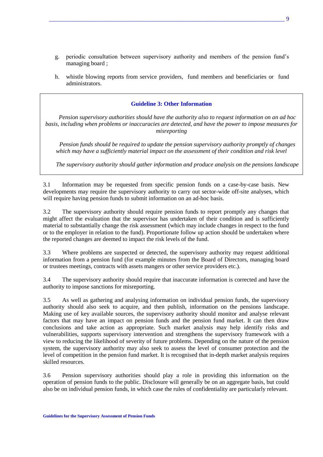- g. periodic consultation between supervisory authority and members of the pension fund's managing board ;
- h. whistle blowing reports from service providers, fund members and beneficiaries or fund administrators.

## **Guideline 3: Other Information**

*Pension supervisory authorities should have the authority also to request information on an ad hoc basis, including when problems or inaccuracies are detected, and have the power to impose measures for misreporting* 

*Pension funds should be required to update the pension supervisory authority promptly of changes which may have a sufficiently material impact on the assessment of their condition and risk level* 

*The supervisory authority should gather information and produce analysis on the pensions landscape* 

3.1 Information may be requested from specific pension funds on a case-by-case basis. New developments may require the supervisory authority to carry out sector-wide off-site analyses, which will require having pension funds to submit information on an ad-hoc basis.

3.2 The supervisory authority should require pension funds to report promptly any changes that might affect the evaluation that the supervisor has undertaken of their condition and is sufficiently material to substantially change the risk assessment (which may include changes in respect to the fund or to the employer in relation to the fund). Proportionate follow up action should be undertaken where the reported changes are deemed to impact the risk levels of the fund.

3.3 Where problems are suspected or detected, the supervisory authority may request additional information from a pension fund (for example minutes from the Board of Directors, managing board or trustees meetings, contracts with assets mangers or other service providers etc.).

3.4 The supervisory authority should require that inaccurate information is corrected and have the authority to impose sanctions for misreporting.

3.5 As well as gathering and analysing information on individual pension funds, the supervisory authority should also seek to acquire, and then publish, information on the pensions landscape. Making use of key available sources, the supervisory authority should monitor and analyse relevant factors that may have an impact on pension funds and the pension fund market. It can then draw conclusions and take action as appropriate. Such market analysis may help identify risks and vulnerabilities, supports supervisory intervention and strengthens the supervisory framework with a view to reducing the likelihood of severity of future problems. Depending on the nature of the pension system, the supervisory authority may also seek to assess the level of consumer protection and the level of competition in the pension fund market. It is recognised that in-depth market analysis requires skilled resources.

3.6 Pension supervisory authorities should play a role in providing this information on the operation of pension funds to the public. Disclosure will generally be on an aggregate basis, but could also be on individual pension funds, in which case the rules of confidentiality are particularly relevant.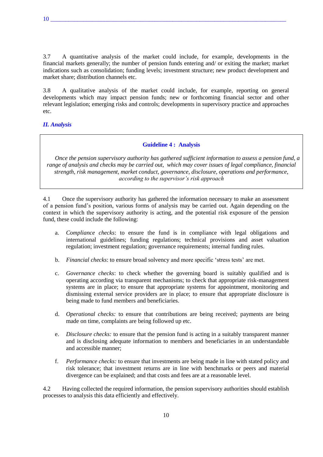3.7 A quantitative analysis of the market could include, for example, developments in the financial markets generally; the number of pension funds entering and/ or exiting the market; market indications such as consolidation; funding levels; investment structure; new product development and market share; distribution channels etc.

3.8 A qualitative analysis of the market could include, for example, reporting on general developments which may impact pension funds; new or forthcoming financial sector and other relevant legislation; emerging risks and controls; developments in supervisory practice and approaches etc.

# *II. Analysis*

## **Guideline 4 : Analysis**

*Once the pension supervisory authority has gathered sufficient information to assess a pension fund, a range of analysis and checks may be carried out, which may cover issues of legal compliance, financial strength, risk management, market conduct, governance, disclosure, operations and performance, according to the supervisor's risk approach*

4.1 Once the supervisory authority has gathered the information necessary to make an assessment of a pension fund's position, various forms of analysis may be carried out. Again depending on the context in which the supervisory authority is acting, and the potential risk exposure of the pension fund, these could include the following:

- a. *Compliance checks*: to ensure the fund is in compliance with legal obligations and international guidelines; funding regulations; technical provisions and asset valuation regulation; investment regulation; governance requirements; internal funding rules.
- b. *Financial checks*: to ensure broad solvency and more specific 'stress tests' are met.
- c. *Governance checks*: to check whether the governing board is suitably qualified and is operating according via transparent mechanisms; to check that appropriate risk-management systems are in place; to ensure that appropriate systems for appointment, monitoring and dismissing external service providers are in place; to ensure that appropriate disclosure is being made to fund members and beneficiaries.
- d. *Operational checks:* to ensure that contributions are being received; payments are being made on time, complaints are being followed up etc.
- e. *Disclosure checks:* to ensure that the pension fund is acting in a suitably transparent manner and is disclosing adequate information to members and beneficiaries in an understandable and accessible manner;
- f. *Performance checks:* to ensure that investments are being made in line with stated policy and risk tolerance; that investment returns are in line with benchmarks or peers and material divergence can be explained; and that costs and fees are at a reasonable level.

4.2 Having collected the required information, the pension supervisory authorities should establish processes to analysis this data efficiently and effectively.

10 \_\_\_\_\_\_\_\_\_\_\_\_\_\_\_\_\_\_\_\_\_\_\_\_\_\_\_\_\_\_\_\_\_\_\_\_\_\_\_\_\_\_\_\_\_\_\_\_\_\_\_\_\_\_\_\_\_\_\_\_\_\_\_\_\_\_\_\_\_\_\_\_\_\_\_\_\_\_\_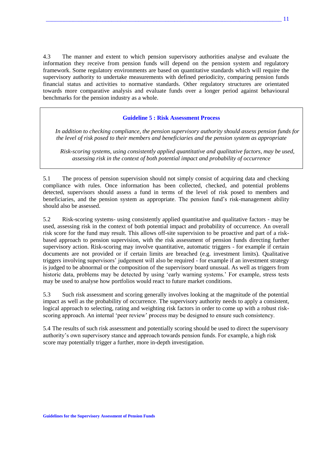4.3 The manner and extent to which pension supervisory authorities analyse and evaluate the information they receive from pension funds will depend on the pension system and regulatory framework. Some regulatory environments are based on quantitative standards which will require the supervisory authority to undertake measurements with defined periodicity, comparing pension funds financial status and activities to normative standards. Other regulatory structures are orientated towards more comparative analysis and evaluate funds over a longer period against behavioural benchmarks for the pension industry as a whole.

#### **Guideline 5 : Risk Assessment Process**

*In addition to checking compliance, the pension supervisory authority should assess pension funds for the level of risk posed to their members and beneficiaries and the pension system as appropriate* 

*Risk-scoring systems, using consistently applied quantitative and qualitative factors, may be used, assessing risk in the context of both potential impact and probability of occurrence* 

5.1 The process of pension supervision should not simply consist of acquiring data and checking compliance with rules. Once information has been collected, checked, and potential problems detected, supervisors should assess a fund in terms of the level of risk posed to members and beneficiaries, and the pension system as appropriate. The pension fund's risk-management ability should also be assessed.

5.2 Risk-scoring systems- using consistently applied quantitative and qualitative factors - may be used, assessing risk in the context of both potential impact and probability of occurrence. An overall risk score for the fund may result. This allows off-site supervision to be proactive and part of a riskbased approach to pension supervision, with the risk assessment of pension funds directing further supervisory action. Risk-scoring may involve quantitative, automatic triggers - for example if certain documents are not provided or if certain limits are breached (e.g. investment limits). Qualitative triggers involving supervisors' judgement will also be required - for example if an investment strategy is judged to be abnormal or the composition of the supervisory board unusual. As well as triggers from historic data, problems may be detected by using 'early warning systems.' For example, stress tests may be used to analyse how portfolios would react to future market conditions.

5.3 Such risk assessment and scoring generally involves looking at the magnitude of the potential impact as well as the probability of occurrence. The supervisory authority needs to apply a consistent, logical approach to selecting, rating and weighting risk factors in order to come up with a robust riskscoring approach. An internal 'peer review' process may be designed to ensure such consistency.

5.4 The results of such risk assessment and potentially scoring should be used to direct the supervisory authority's own supervisory stance and approach towards pension funds. For example, a high risk score may potentially trigger a further, more in-depth investigation.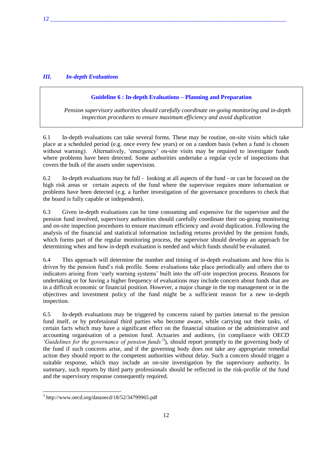# *III. In-depth Evaluations*

#### **Guideline 6 : In-depth Evaluations – Planning and Preparation**

*Pension supervisory authorities should carefully coordinate on-going monitoring and in-depth inspection procedures to ensure maximum efficiency and avoid duplication* 

6.1 In-depth evaluations can take several forms. These may be routine, on-site visits which take place at a scheduled period (e.g. once every few years) or on a random basis (when a fund is chosen without warning). Alternatively, 'emergency' on-site visits may be required to investigate funds where problems have been detected. Some authorities undertake a regular cycle of inspections that covers the bulk of the assets under supervision.

6.2 In-depth evaluations may be full - looking at all aspects of the fund - or can be focused on the high risk areas or certain aspects of the fund where the supervisor requires more information or problems have been detected (e.g. a further investigation of the governance procedures to check that the board is fully capable or independent).

6.3 Given in-depth evaluations can be time consuming and expensive for the supervisor and the pension fund involved, supervisory authorities should carefully coordinate their on-going monitoring and on-site inspection procedures to ensure maximum efficiency and avoid duplication. Following the analysis of the financial and statistical information including returns provided by the pension funds, which forms part of the regular monitoring process, the supervisor should develop an approach for determining when and how in-depth evaluation is needed and which funds should be evaluated.

6.4 This approach will determine the number and timing of in-depth evaluations and how this is driven by the pension fund's risk profile. Some evaluations take place periodically and others due to indicators arising from 'early warning systems' built into the off-site inspection process. Reasons for undertaking or for having a higher frequency of evaluations may include concern about funds that are in a difficult economic or financial position. However, a major change in the top management or in the objectives and investment policy of the fund might be a sufficient reason for a new in-depth inspection.

6.5 In-depth evaluations may be triggered by concerns raised by parties internal to the pension fund itself, or by professional third parties who become aware, while carrying out their tasks, of certain facts which may have a significant effect on the financial situation or the administrative and accounting organisation of a pension fund. Actuaries and auditors, (in compliance with OECD 'Guidelines for the governance of pension funds<sup>3</sup>), should report promptly to the governing body of the fund if such concerns arise, and if the governing body does not take any appropriate remedial action they should report to the competent authorities without delay. Such a concern should trigger a suitable response, which may include an on-site investigation by the supervisory authority. In summary, such reports by third party professionals should be reflected in the risk-profile of the fund and the supervisory response consequently required.

 3 http://www.oecd.org/dataoecd/18/52/34799965.pdf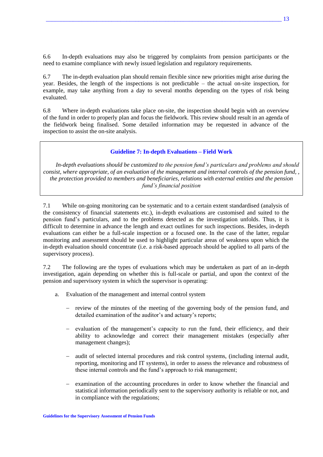6.6 In-depth evaluations may also be triggered by complaints from pension participants or the need to examine compliance with newly issued legislation and regulatory requirements.

6.7 The in-depth evaluation plan should remain flexible since new priorities might arise during the year. Besides, the length of the inspections is not predictable – the actual on-site inspection, for example, may take anything from a day to several months depending on the types of risk being evaluated.

6.8 Where in-depth evaluations take place on-site, the inspection should begin with an overview of the fund in order to properly plan and focus the fieldwork. This review should result in an agenda of the fieldwork being finalised. Some detailed information may be requested in advance of the inspection to assist the on-site analysis.

## **Guideline 7: In-depth Evaluations – Field Work**

*In-depth evaluations should be customized to the pension fund's particulars and problems and should consist, where appropriate, of an evaluation of the management and internal controls of the pension fund, , the protection provided to members and beneficiaries, relations with external entities and the pension fund's financial position* 

7.1 While on-going monitoring can be systematic and to a certain extent standardised (analysis of the consistency of financial statements etc.), in-depth evaluations are customised and suited to the pension fund's particulars, and to the problems detected as the investigation unfolds. Thus, it is difficult to determine in advance the length and exact outlines for such inspections. Besides, in-depth evaluations can either be a full-scale inspection or a focused one. In the case of the latter, regular monitoring and assessment should be used to highlight particular areas of weakness upon which the in-depth evaluation should concentrate (i.e. a risk-based approach should be applied to all parts of the supervisory process).

7.2 The following are the types of evaluations which may be undertaken as part of an in-depth investigation, again depending on whether this is full-scale or partial, and upon the context of the pension and supervisory system in which the supervisor is operating:

- a. Evaluation of the management and internal control system
	- review of the minutes of the meeting of the governing body of the pension fund, and detailed examination of the auditor's and actuary's reports;
	- evaluation of the management's capacity to run the fund, their efficiency, and their ability to acknowledge and correct their management mistakes (especially after management changes);
	- audit of selected internal procedures and risk control systems, (including internal audit, reporting, monitoring and IT systems), in order to assess the relevance and robustness of these internal controls and the fund's approach to risk management;
	- examination of the accounting procedures in order to know whether the financial and statistical information periodically sent to the supervisory authority is reliable or not, and in compliance with the regulations;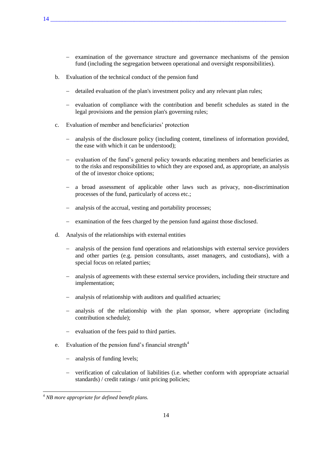- examination of the governance structure and governance mechanisms of the pension fund (including the segregation between operational and oversight responsibilities).
- b. Evaluation of the technical conduct of the pension fund
	- detailed evaluation of the plan's investment policy and any relevant plan rules;
	- $-$  evaluation of compliance with the contribution and benefit schedules as stated in the legal provisions and the pension plan's governing rules;
- c. Evaluation of member and beneficiaries' protection
	- analysis of the disclosure policy (including content, timeliness of information provided, the ease with which it can be understood);
	- evaluation of the fund's general policy towards educating members and beneficiaries as to the risks and responsibilities to which they are exposed and, as appropriate, an analysis of the of investor choice options;
	- a broad assessment of applicable other laws such as privacy, non-discrimination processes of the fund, particularly of access etc.;
	- analysis of the accrual, vesting and portability processes;
	- examination of the fees charged by the pension fund against those disclosed.
- d. Analysis of the relationships with external entities
	- analysis of the pension fund operations and relationships with external service providers and other parties (e.g. pension consultants, asset managers, and custodians), with a special focus on related parties;
	- analysis of agreements with these external service providers, including their structure and implementation;
	- analysis of relationship with auditors and qualified actuaries;
	- analysis of the relationship with the plan sponsor, where appropriate (including contribution schedule);
	- evaluation of the fees paid to third parties.
- e. Evaluation of the pension fund's financial strength $4$ 
	- analysis of funding levels;
	- verification of calculation of liabilities (i.e. whether conform with appropriate actuarial standards) / credit ratings / unit pricing policies;

 $\overline{a}$ 

<sup>4</sup> *NB more appropriate for defined benefit plans.*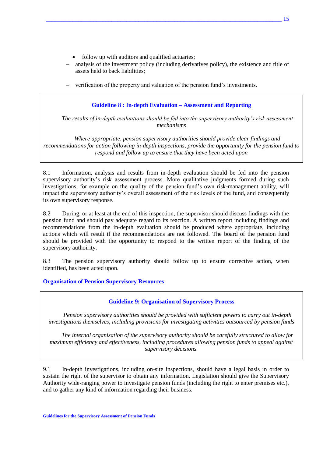- follow up with auditors and qualified actuaries;
- analysis of the investment policy (including derivatives policy), the existence and title of assets held to back liabilities;
- verification of the property and valuation of the pension fund's investments.

## **Guideline 8 : In-depth Evaluation – Assessment and Reporting**

*The results of in-depth evaluations should be fed into the supervisory authority's risk assessment mechanisms*

*Where appropriate, pension supervisory authorities should provide clear findings and recommendations for action following in-depth inspections, provide the opportunity for the pension fund to respond and follow up to ensure that they have been acted upon* 

8.1 Information, analysis and results from in-depth evaluation should be fed into the pension supervisory authority's risk assessment process. More qualitative judgments formed during such investigations, for example on the quality of the pension fund's own risk-management ability, will impact the supervisory authority's overall assessment of the risk levels of the fund, and consequently its own supervisory response.

8.2 During, or at least at the end of this inspection, the supervisor should discuss findings with the pension fund and should pay adequate regard to its reaction. A written report including findings and recommendations from the in-depth evaluation should be produced where appropriate, including actions which will result if the recommendations are not followed. The board of the pension fund should be provided with the opportunity to respond to the written report of the finding of the supervisory authoirity.

8.3 The pension supervisory authority should follow up to ensure corrective action, when identified, has been acted upon.

## **Organisation of Pension Supervisory Resources**

## **Guideline 9: Organisation of Supervisory Process**

*Pension supervisory authorities should be provided with sufficient powers to carry out in-depth investigations themselves, including provisions for investigating activities outsourced by pension funds* 

*The internal organisation of the supervisory authority should be carefully structured to allow for maximum efficiency and effectiveness, including procedures allowing pension funds to appeal against supervisory decisions.* 

9.1 In-depth investigations, including on-site inspections, should have a legal basis in order to sustain the right of the supervisor to obtain any information. Legislation should give the Supervisory Authority wide-ranging power to investigate pension funds (including the right to enter premises etc.), and to gather any kind of information regarding their business.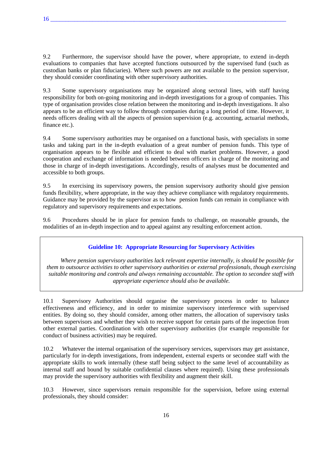9.2 Furthermore, the supervisor should have the power, where appropriate, to extend in-depth evaluations to companies that have accepted functions outsourced by the supervised fund (such as custodian banks or plan fiduciaries). Where such powers are not available to the pension supervisor, they should consider coordinating with other supervisory authorities.

9.3 Some supervisory organisations may be organized along sectoral lines, with staff having responsibility for both on-going monitoring and in-depth investigations for a group of companies. This type of organisation provides close relation between the monitoring and in-depth investigations. It also appears to be an efficient way to follow through companies during a long period of time. However, it needs officers dealing with all the aspects of pension supervision (e.g. accounting, actuarial methods, finance etc.).

9.4 Some supervisory authorities may be organised on a functional basis, with specialists in some tasks and taking part in the in-depth evaluation of a great number of pension funds. This type of organisation appears to be flexible and efficient to deal with market problems. However, a good cooperation and exchange of information is needed between officers in charge of the monitoring and those in charge of in-depth investigations. Accordingly, results of analyses must be documented and accessible to both groups.

9.5 In exercising its supervisory powers, the pension supervisory authority should give pension funds flexibility, where appropriate, in the way they achieve compliance with regulatory requirements. Guidance may be provided by the supervisor as to how pension funds can remain in compliance with regulatory and supervisory requirements and expectations.

9.6 Procedures should be in place for pension funds to challenge, on reasonable grounds, the modalities of an in-depth inspection and to appeal against any resulting enforcement action.

## **Guideline 10: Appropriate Resourcing for Supervisory Activities**

*Where pension supervisory authorities lack relevant expertise internally, is should be possible for them to outsource activities to other supervisory authorities or external professionals, though exercising suitable monitoring and controls and always remaining accountable. The option to secondee staff with appropriate experience should also be available.*

10.1 Supervisory Authorities should organise the supervisory process in order to balance effectiveness and efficiency, and in order to minimize supervisory interference with supervised entities. By doing so, they should consider, among other matters, the allocation of supervisory tasks between supervisors and whether they wish to receive support for certain parts of the inspection from other external parties. Coordination with other supervisory authorities (for example responsible for conduct of business activities) may be required.

10.2 Whatever the internal organisation of the supervisory services, supervisors may get assistance, particularly for in-depth investigations, from independent, external experts or secondee staff with the appropriate skills to work internally (these staff being subject to the same level of accountability as internal staff and bound by suitable confidential clauses where required). Using these professionals may provide the supervisory authorities with flexibility and augment their skill.

10.3 However, since supervisors remain responsible for the supervision, before using external professionals, they should consider: